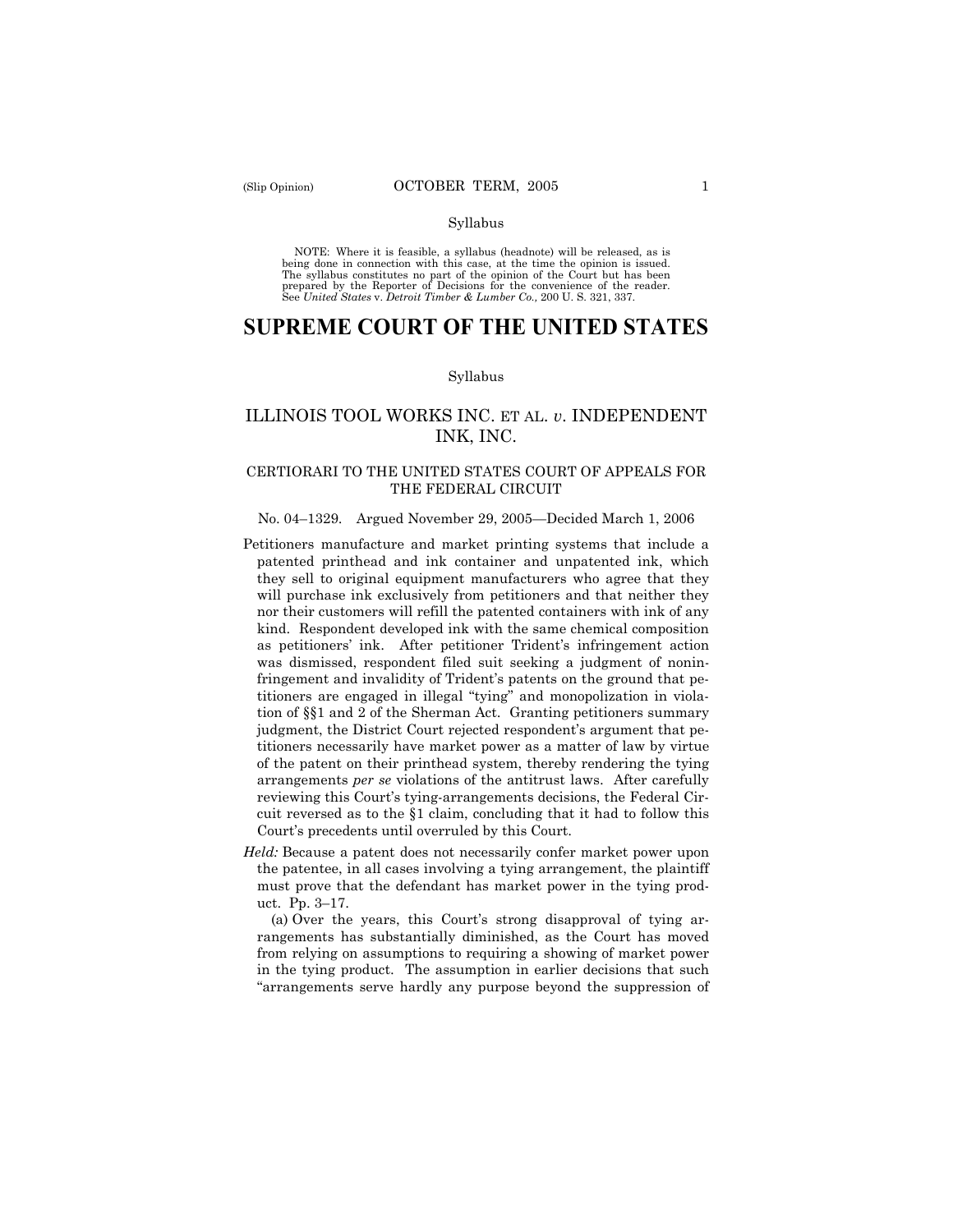#### Syllabus

NOTE: Where it is feasible, a syllabus (headnote) will be released, as is being done in connection with this case, at the time the opinion is issued. The syllabus constitutes no part of the opinion of the Court but has been<br>prepared by the Reporter of Decisions for the convenience of the reader.<br>See United States v. Detroit Timber & Lumber Co., 200 U. S. 321, 337.

# **SUPREME COURT OF THE UNITED STATES**

## Syllabus

## ILLINOIS TOOL WORKS INC. ET AL. *v*. INDEPENDENT INK, INC.

## CERTIORARI TO THE UNITED STATES COURT OF APPEALS FOR THE FEDERAL CIRCUIT

### No. 04–1329. Argued November 29, 2005—Decided March 1, 2006

- Petitioners manufacture and market printing systems that include a patented printhead and ink container and unpatented ink, which they sell to original equipment manufacturers who agree that they will purchase ink exclusively from petitioners and that neither they nor their customers will refill the patented containers with ink of any kind. Respondent developed ink with the same chemical composition as petitioners' ink. After petitioner Trident's infringement action was dismissed, respondent filed suit seeking a judgment of noninfringement and invalidity of Trident's patents on the ground that petitioners are engaged in illegal "tying" and monopolization in violation of §§1 and 2 of the Sherman Act. Granting petitioners summary judgment, the District Court rejected respondent's argument that petitioners necessarily have market power as a matter of law by virtue of the patent on their printhead system, thereby rendering the tying arrangements *per se* violations of the antitrust laws. After carefully reviewing this Court's tying-arrangements decisions, the Federal Circuit reversed as to the §1 claim, concluding that it had to follow this Court's precedents until overruled by this Court.
- *Held:* Because a patent does not necessarily confer market power upon the patentee, in all cases involving a tying arrangement, the plaintiff must prove that the defendant has market power in the tying product. Pp. 3–17.

(a) Over the years, this Court's strong disapproval of tying arrangements has substantially diminished, as the Court has moved from relying on assumptions to requiring a showing of market power in the tying product. The assumption in earlier decisions that such "arrangements serve hardly any purpose beyond the suppression of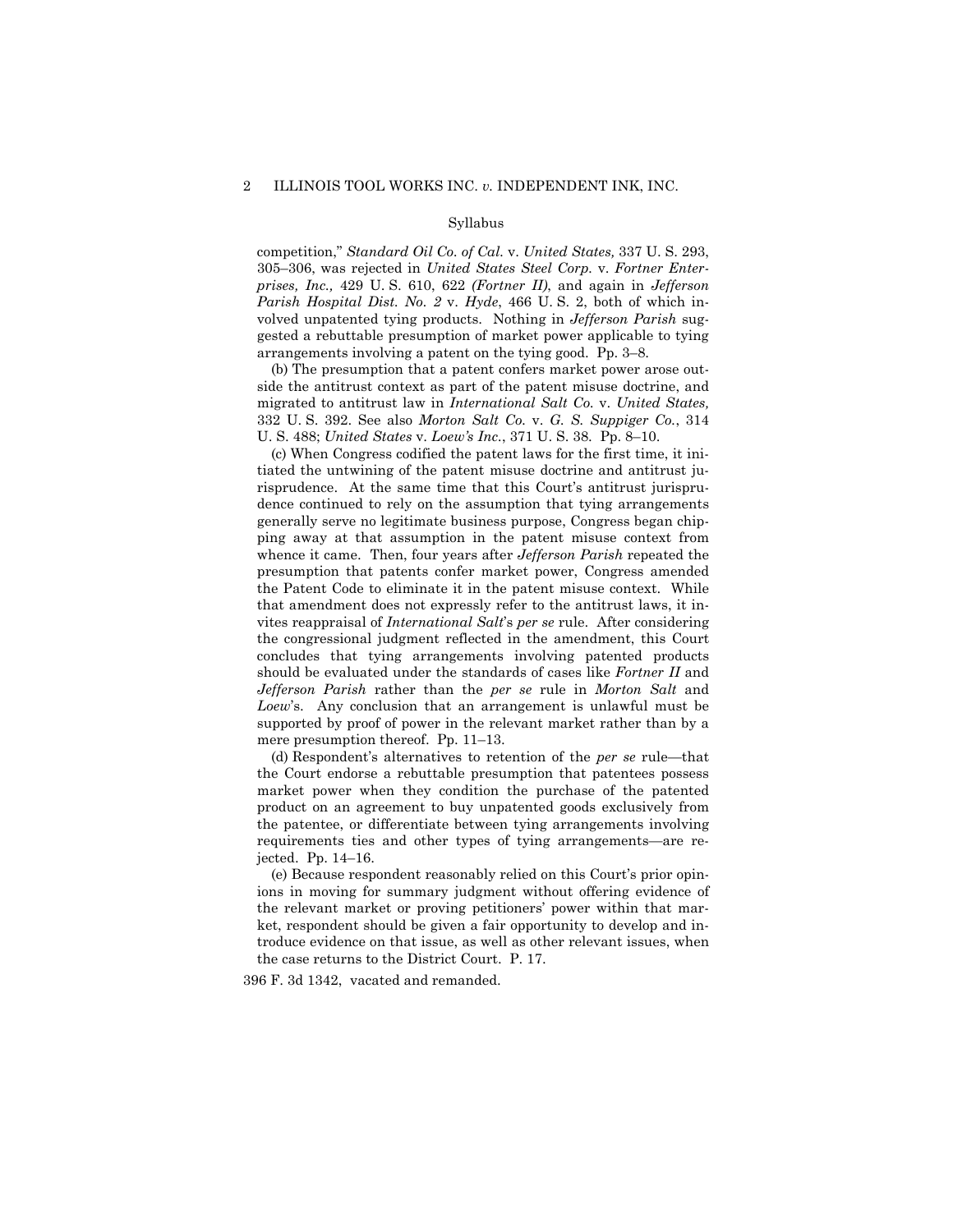#### Syllabus

competition," *Standard Oil Co. of Cal.* v. *United States,* 337 U. S. 293, 305–306, was rejected in *United States Steel Corp.* v. *Fortner Enterprises, Inc.,* 429 U. S. 610, 622 *(Fortner II)*, and again in *Jefferson Parish Hospital Dist. No. 2* v. *Hyde*, 466 U. S. 2, both of which involved unpatented tying products. Nothing in *Jefferson Parish* suggested a rebuttable presumption of market power applicable to tying arrangements involving a patent on the tying good. Pp. 3–8.

(b) The presumption that a patent confers market power arose outside the antitrust context as part of the patent misuse doctrine, and migrated to antitrust law in *International Salt Co.* v. *United States,*  332 U. S. 392. See also *Morton Salt Co.* v. *G. S. Suppiger Co.*, 314 U. S. 488; *United States* v. *Loew's Inc.*, 371 U. S. 38. Pp. 8–10.

(c) When Congress codified the patent laws for the first time, it initiated the untwining of the patent misuse doctrine and antitrust jurisprudence. At the same time that this Court's antitrust jurisprudence continued to rely on the assumption that tying arrangements generally serve no legitimate business purpose, Congress began chipping away at that assumption in the patent misuse context from whence it came. Then, four years after *Jefferson Parish* repeated the presumption that patents confer market power, Congress amended the Patent Code to eliminate it in the patent misuse context. While that amendment does not expressly refer to the antitrust laws, it invites reappraisal of *International Salt*'s *per se* rule. After considering the congressional judgment reflected in the amendment, this Court concludes that tying arrangements involving patented products should be evaluated under the standards of cases like *Fortner II* and *Jefferson Parish* rather than the *per se* rule in *Morton Salt* and *Loew*'s. Any conclusion that an arrangement is unlawful must be supported by proof of power in the relevant market rather than by a mere presumption thereof. Pp. 11–13.

(d) Respondent's alternatives to retention of the *per se* rule—that the Court endorse a rebuttable presumption that patentees possess market power when they condition the purchase of the patented product on an agreement to buy unpatented goods exclusively from the patentee, or differentiate between tying arrangements involving requirements ties and other types of tying arrangements—are rejected. Pp. 14–16.

(e) Because respondent reasonably relied on this Court's prior opinions in moving for summary judgment without offering evidence of the relevant market or proving petitioners' power within that market, respondent should be given a fair opportunity to develop and introduce evidence on that issue, as well as other relevant issues, when the case returns to the District Court. P. 17.

396 F. 3d 1342, vacated and remanded.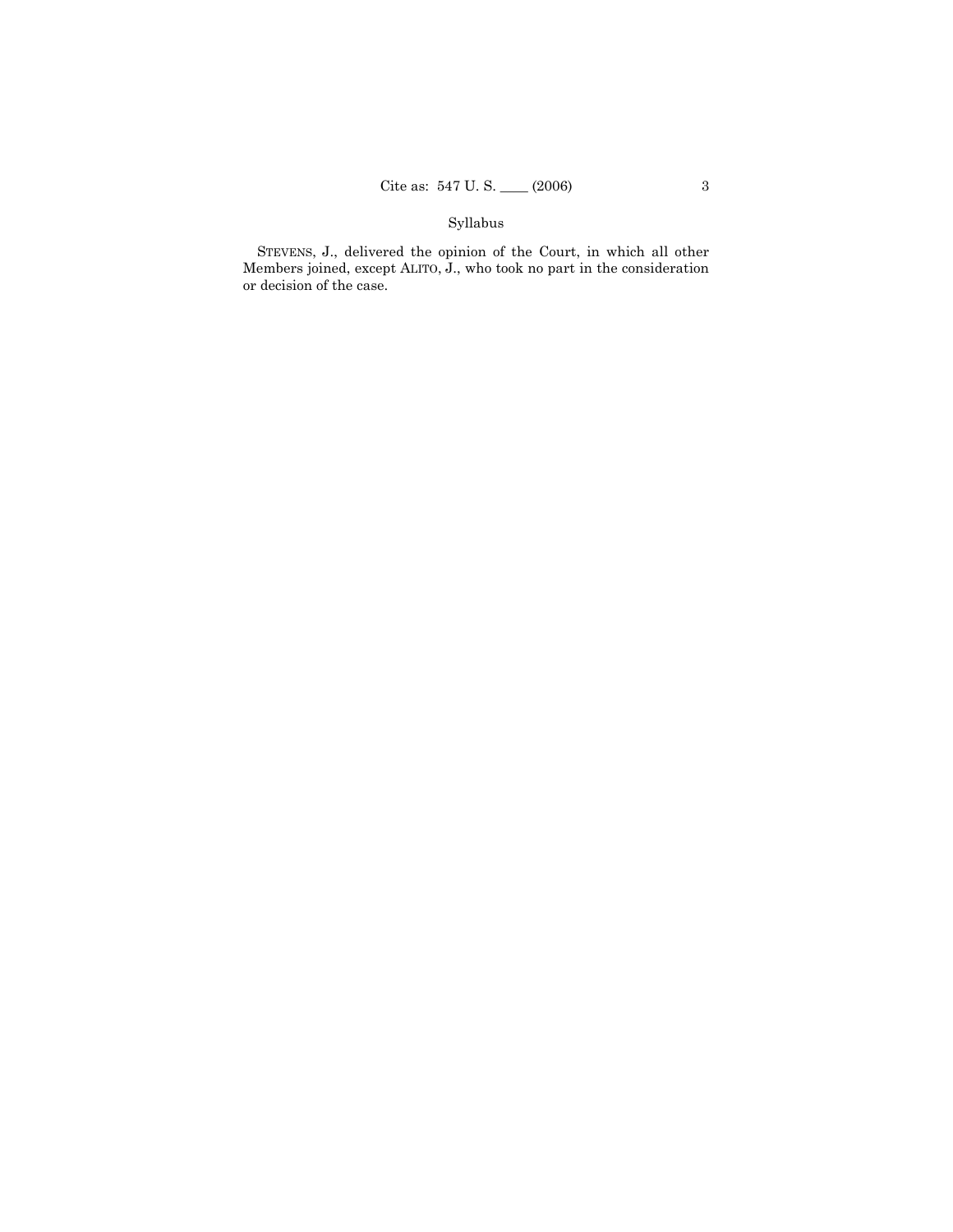## Syllabus

STEVENS, J., delivered the opinion of the Court, in which all other Members joined, except ALITO, J., who took no part in the consideration or decision of the case.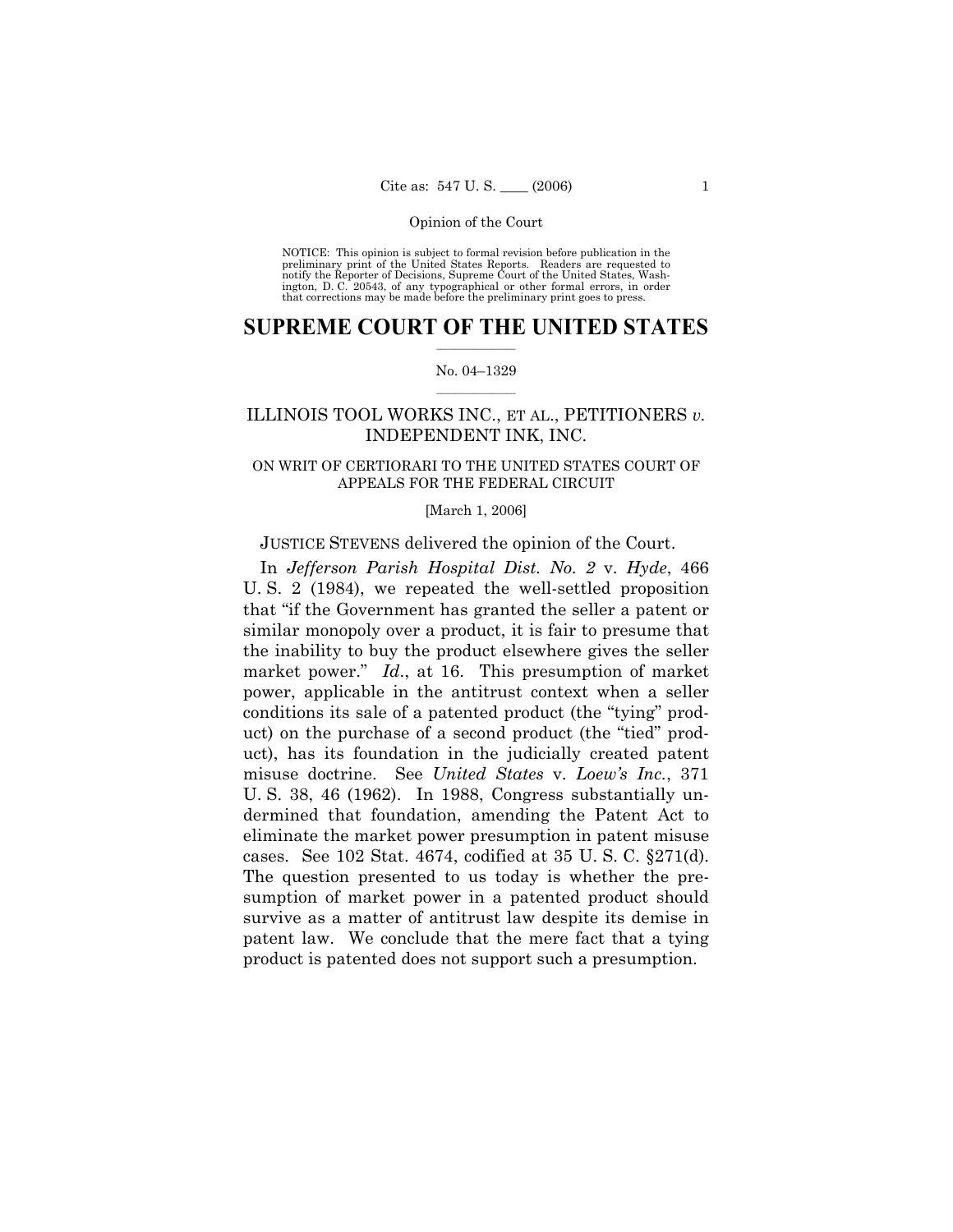NOTICE: This opinion is subject to formal revision before publication in the preliminary print of the United States Reports. Readers are requested to notify the Reporter of Decisions, Supreme Court of the United States, Washington, D. C. 20543, of any typographical or other formal errors, in order that corrections may be made before the preliminary print goes to press.

## $\frac{1}{2}$  ,  $\frac{1}{2}$  ,  $\frac{1}{2}$  ,  $\frac{1}{2}$  ,  $\frac{1}{2}$  ,  $\frac{1}{2}$  ,  $\frac{1}{2}$ **SUPREME COURT OF THE UNITED STATES**

## $\mathcal{L}=\mathcal{L}$ No. 04–1329

## ILLINOIS TOOL WORKS INC., ET AL., PETITIONERS *v.*  INDEPENDENT INK, INC.

## ON WRIT OF CERTIORARI TO THE UNITED STATES COURT OF APPEALS FOR THE FEDERAL CIRCUIT

#### [March 1, 2006]

## JUSTICE STEVENS delivered the opinion of the Court.

In *Jefferson Parish Hospital Dist. No. 2* v. *Hyde*, 466 U. S. 2 (1984), we repeated the well-settled proposition that "if the Government has granted the seller a patent or similar monopoly over a product, it is fair to presume that the inability to buy the product elsewhere gives the seller market power." *Id*., at 16. This presumption of market power, applicable in the antitrust context when a seller conditions its sale of a patented product (the "tying" product) on the purchase of a second product (the "tied" product), has its foundation in the judicially created patent misuse doctrine. See *United States* v. *Loew's Inc.*, 371 U. S. 38, 46 (1962). In 1988, Congress substantially undermined that foundation, amending the Patent Act to eliminate the market power presumption in patent misuse cases. See 102 Stat. 4674, codified at 35 U. S. C. §271(d). The question presented to us today is whether the presumption of market power in a patented product should survive as a matter of antitrust law despite its demise in patent law. We conclude that the mere fact that a tying product is patented does not support such a presumption.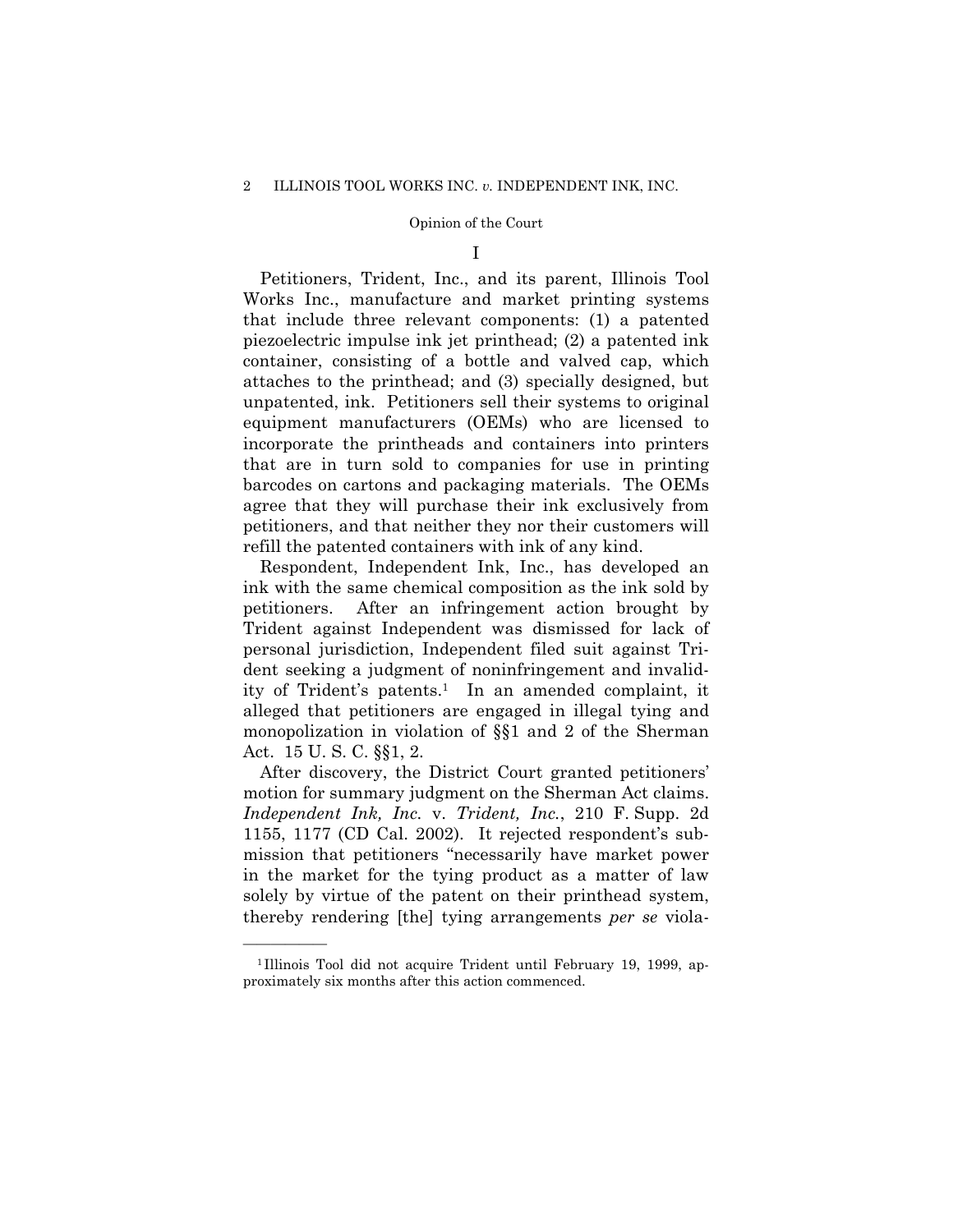I

Petitioners, Trident, Inc., and its parent, Illinois Tool Works Inc., manufacture and market printing systems that include three relevant components: (1) a patented piezoelectric impulse ink jet printhead; (2) a patented ink container, consisting of a bottle and valved cap, which attaches to the printhead; and (3) specially designed, but unpatented, ink. Petitioners sell their systems to original equipment manufacturers (OEMs) who are licensed to incorporate the printheads and containers into printers that are in turn sold to companies for use in printing barcodes on cartons and packaging materials. The OEMs agree that they will purchase their ink exclusively from petitioners, and that neither they nor their customers will refill the patented containers with ink of any kind.

Respondent, Independent Ink, Inc., has developed an ink with the same chemical composition as the ink sold by petitioners. After an infringement action brought by Trident against Independent was dismissed for lack of personal jurisdiction, Independent filed suit against Trident seeking a judgment of noninfringement and invalidity of Trident's patents.<sup>1</sup> In an amended complaint, it alleged that petitioners are engaged in illegal tying and monopolization in violation of §§1 and 2 of the Sherman Act. 15 U. S. C. §§1, 2.

After discovery, the District Court granted petitioners' motion for summary judgment on the Sherman Act claims. *Independent Ink, Inc.* v. *Trident, Inc.*, 210 F. Supp. 2d 1155, 1177 (CD Cal. 2002). It rejected respondent's submission that petitioners "necessarily have market power in the market for the tying product as a matter of law solely by virtue of the patent on their printhead system, thereby rendering [the] tying arrangements *per se* viola-

<sup>&</sup>lt;sup>1</sup>Illinois Tool did not acquire Trident until February 19, 1999, approximately six months after this action commenced.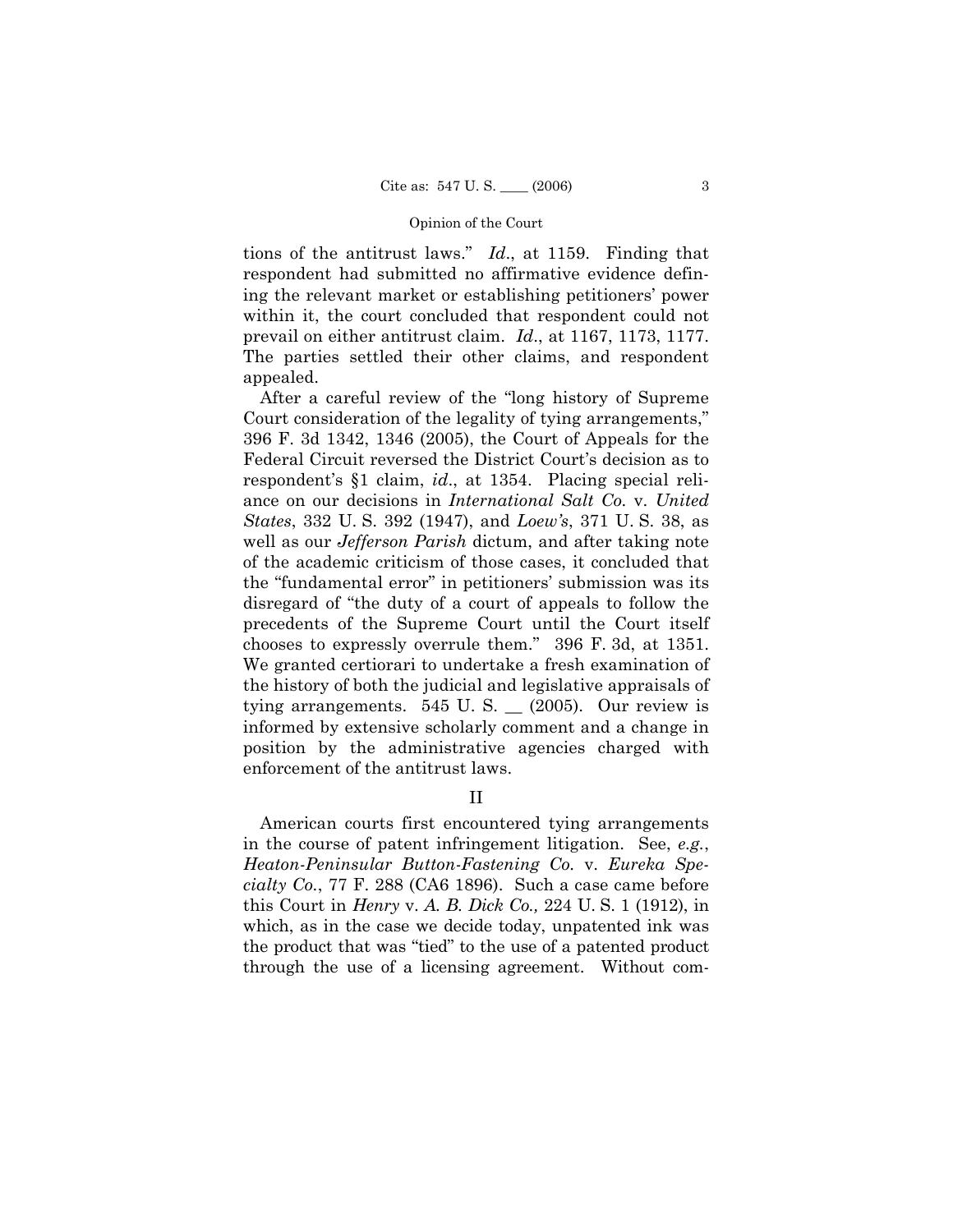tions of the antitrust laws." *Id*., at 1159. Finding that respondent had submitted no affirmative evidence defining the relevant market or establishing petitioners' power within it, the court concluded that respondent could not prevail on either antitrust claim. *Id*., at 1167, 1173, 1177. The parties settled their other claims, and respondent appealed.

After a careful review of the "long history of Supreme Court consideration of the legality of tying arrangements," 396 F. 3d 1342, 1346 (2005), the Court of Appeals for the Federal Circuit reversed the District Court's decision as to respondent's §1 claim, *id*., at 1354. Placing special reliance on our decisions in *International Salt Co.* v. *United States*, 332 U. S. 392 (1947), and *Loew's*, 371 U. S. 38, as well as our *Jefferson Parish* dictum, and after taking note of the academic criticism of those cases, it concluded that the "fundamental error" in petitioners' submission was its disregard of "the duty of a court of appeals to follow the precedents of the Supreme Court until the Court itself chooses to expressly overrule them." 396 F. 3d, at 1351. We granted certiorari to undertake a fresh examination of the history of both the judicial and legislative appraisals of tying arrangements.  $545 \text{ U}$ . S.  $\_$  (2005). Our review is informed by extensive scholarly comment and a change in position by the administrative agencies charged with enforcement of the antitrust laws.

II

American courts first encountered tying arrangements in the course of patent infringement litigation. See, *e.g.*, *Heaton-Peninsular Button-Fastening Co.* v. *Eureka Specialty Co.*, 77 F. 288 (CA6 1896). Such a case came before this Court in *Henry* v. *A. B. Dick Co.,* 224 U. S. 1 (1912), in which, as in the case we decide today, unpatented ink was the product that was "tied" to the use of a patented product through the use of a licensing agreement. Without com-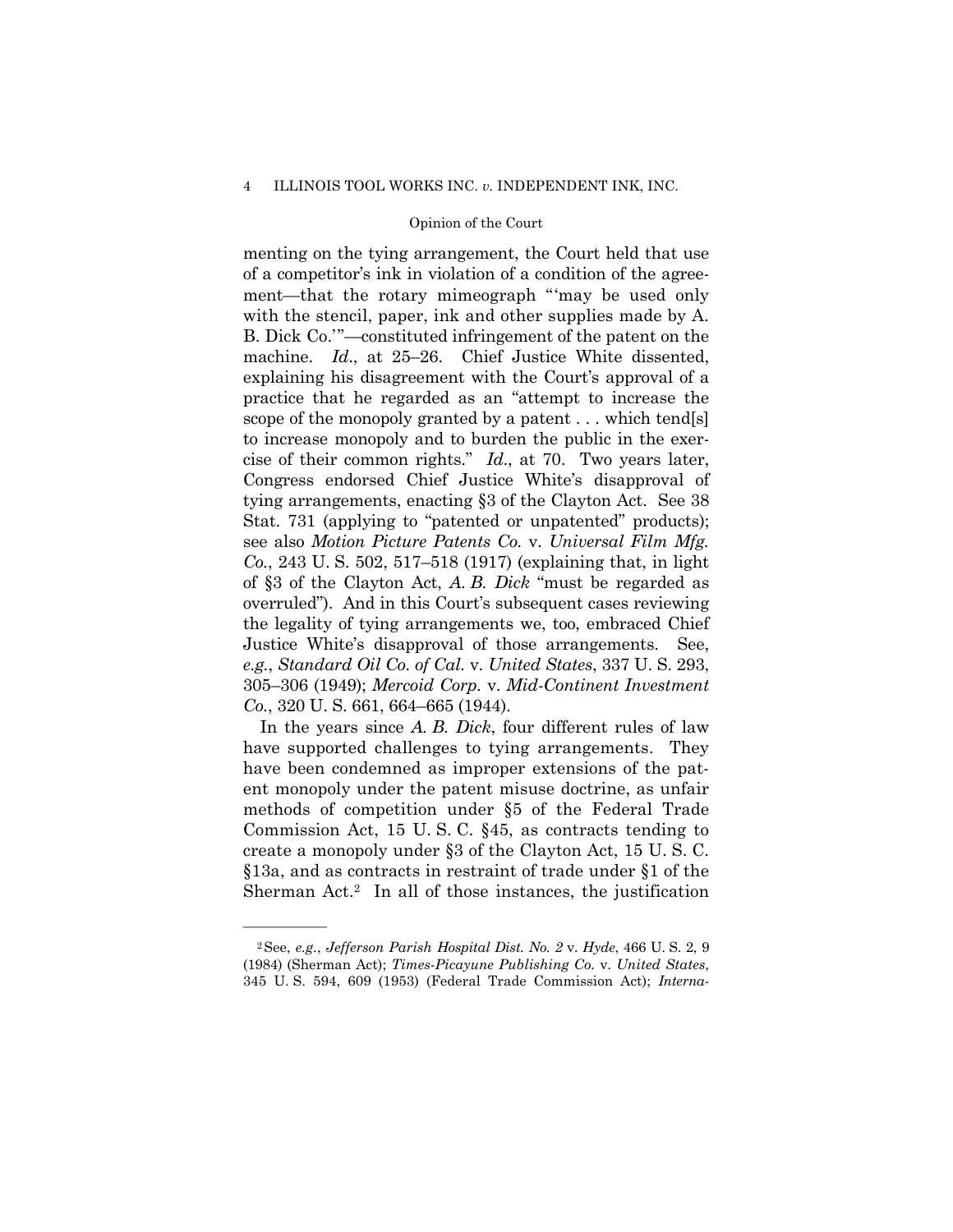### 4 ILLINOIS TOOL WORKS INC. *v.* INDEPENDENT INK, INC.

## Opinion of the Court

menting on the tying arrangement, the Court held that use of a competitor's ink in violation of a condition of the agreement—that the rotary mimeograph "'may be used only with the stencil, paper, ink and other supplies made by A. B. Dick Co.'"—constituted infringement of the patent on the machine. *Id*., at 25–26. Chief Justice White dissented, explaining his disagreement with the Court's approval of a practice that he regarded as an "attempt to increase the scope of the monopoly granted by a patent . . . which tend[s] to increase monopoly and to burden the public in the exercise of their common rights." *Id*., at 70. Two years later, Congress endorsed Chief Justice White's disapproval of tying arrangements, enacting §3 of the Clayton Act. See 38 Stat. 731 (applying to "patented or unpatented" products); see also *Motion Picture Patents Co.* v. *Universal Film Mfg. Co.*, 243 U. S. 502, 517–518 (1917) (explaining that, in light of §3 of the Clayton Act, *A. B. Dick* "must be regarded as overruled"). And in this Court's subsequent cases reviewing the legality of tying arrangements we, too, embraced Chief Justice White's disapproval of those arrangements. See, *e.g.*, *Standard Oil Co. of Cal.* v. *United States*, 337 U. S. 293, 305–306 (1949); *Mercoid Corp.* v. *Mid-Continent Investment Co.*, 320 U. S. 661, 664–665 (1944).

In the years since *A. B. Dick*, four different rules of law have supported challenges to tying arrangements. They have been condemned as improper extensions of the patent monopoly under the patent misuse doctrine, as unfair methods of competition under §5 of the Federal Trade Commission Act, 15 U. S. C. §45, as contracts tending to create a monopoly under §3 of the Clayton Act, 15 U. S. C. §13a, and as contracts in restraint of trade under §1 of the Sherman Act.2 In all of those instances, the justification

<sup>2</sup>See, *e.g.*, *Jefferson Parish Hospital Dist. No. 2* v. *Hyde*, 466 U. S. 2, 9 (1984) (Sherman Act); *Times-Picayune Publishing Co.* v. *United States*, 345 U. S. 594, 609 (1953) (Federal Trade Commission Act); *Interna-*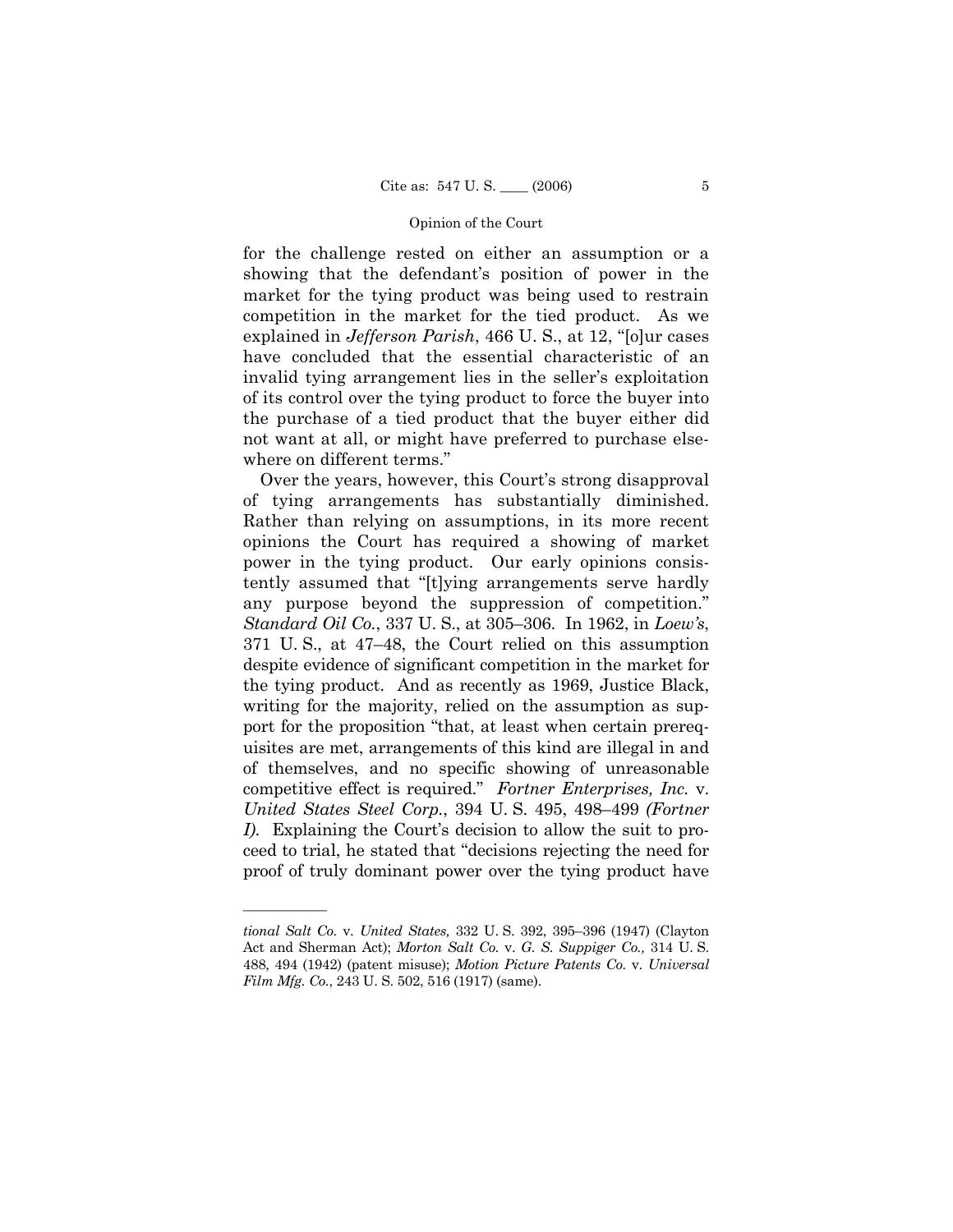for the challenge rested on either an assumption or a showing that the defendant's position of power in the market for the tying product was being used to restrain competition in the market for the tied product. As we explained in *Jefferson Parish*, 466 U. S., at 12, "[o]ur cases have concluded that the essential characteristic of an invalid tying arrangement lies in the seller's exploitation of its control over the tying product to force the buyer into the purchase of a tied product that the buyer either did not want at all, or might have preferred to purchase elsewhere on different terms."

Over the years, however, this Court's strong disapproval of tying arrangements has substantially diminished. Rather than relying on assumptions, in its more recent opinions the Court has required a showing of market power in the tying product. Our early opinions consistently assumed that "[t]ying arrangements serve hardly any purpose beyond the suppression of competition." *Standard Oil Co.*, 337 U. S., at 305–306. In 1962, in *Loew's*, 371 U. S., at 47–48, the Court relied on this assumption despite evidence of significant competition in the market for the tying product. And as recently as 1969, Justice Black, writing for the majority, relied on the assumption as support for the proposition "that, at least when certain prerequisites are met, arrangements of this kind are illegal in and of themselves, and no specific showing of unreasonable competitive effect is required." *Fortner Enterprises, Inc.* v. *United States Steel Corp.*, 394 U. S. 495, 498–499 *(Fortner I)*. Explaining the Court's decision to allow the suit to proceed to trial, he stated that "decisions rejecting the need for proof of truly dominant power over the tying product have

*tional Salt Co.* v. *United States,* 332 U. S. 392, 395–396 (1947) (Clayton Act and Sherman Act); *Morton Salt Co.* v. *G. S. Suppiger Co.,* 314 U. S. 488, 494 (1942) (patent misuse); *Motion Picture Patents Co.* v. *Universal Film Mfg. Co.*, 243 U. S. 502, 516 (1917) (same).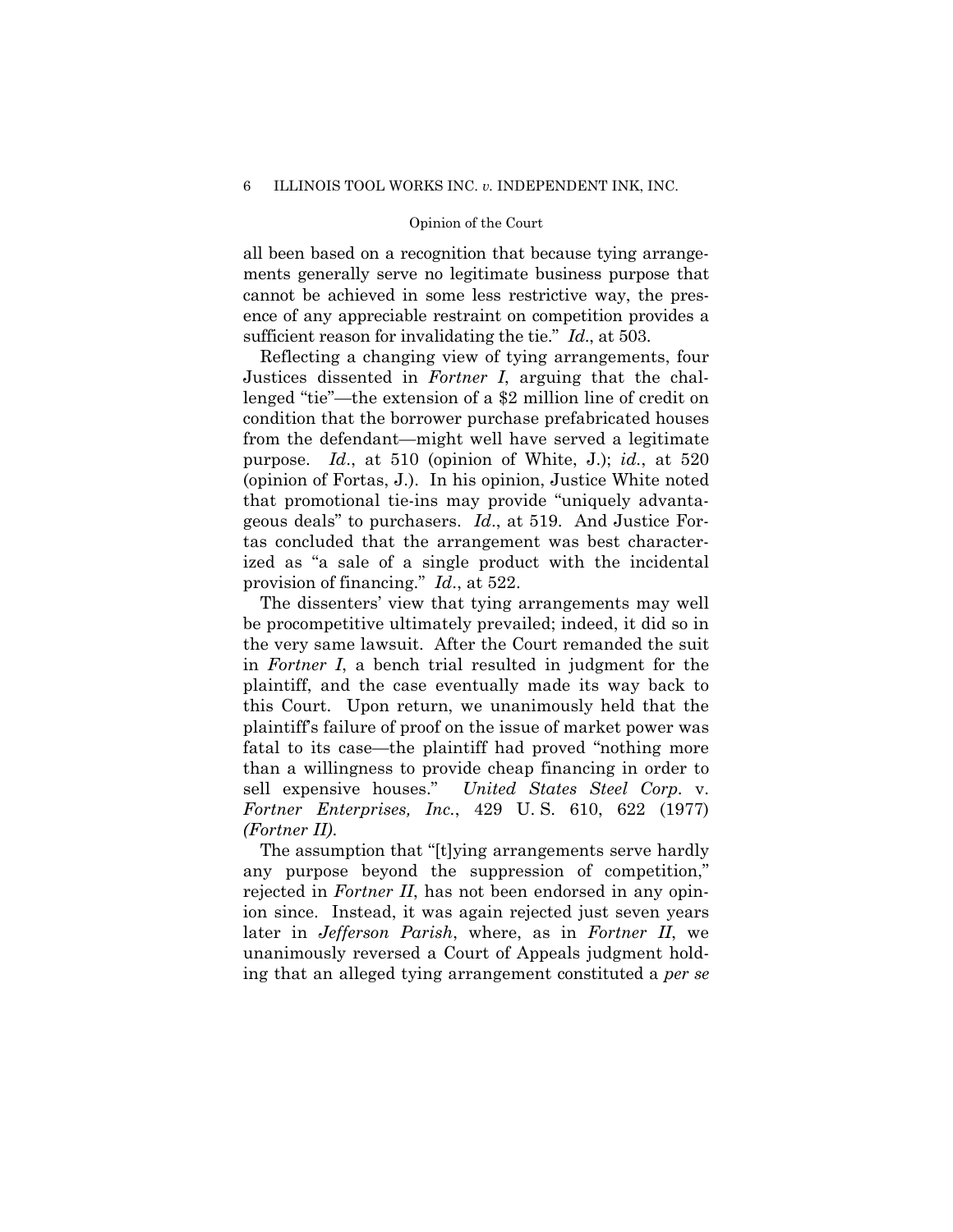all been based on a recognition that because tying arrangements generally serve no legitimate business purpose that cannot be achieved in some less restrictive way, the presence of any appreciable restraint on competition provides a sufficient reason for invalidating the tie." *Id*., at 503.

Reflecting a changing view of tying arrangements, four Justices dissented in *Fortner I*, arguing that the challenged "tie"—the extension of a \$2 million line of credit on condition that the borrower purchase prefabricated houses from the defendant—might well have served a legitimate purpose. *Id*., at 510 (opinion of White, J.); *id.*, at 520 (opinion of Fortas, J.). In his opinion, Justice White noted that promotional tie-ins may provide "uniquely advantageous deals" to purchasers. *Id*., at 519. And Justice Fortas concluded that the arrangement was best characterized as "a sale of a single product with the incidental provision of financing." *Id*., at 522.

The dissenters' view that tying arrangements may well be procompetitive ultimately prevailed; indeed, it did so in the very same lawsuit. After the Court remanded the suit in *Fortner I*, a bench trial resulted in judgment for the plaintiff, and the case eventually made its way back to this Court. Upon return, we unanimously held that the plaintiff's failure of proof on the issue of market power was fatal to its case—the plaintiff had proved "nothing more than a willingness to provide cheap financing in order to sell expensive houses." *United States Steel Corp.* v. *Fortner Enterprises, Inc.*, 429 U. S. 610, 622 (1977) *(Fortner II)*.

The assumption that "[t]ying arrangements serve hardly any purpose beyond the suppression of competition," rejected in *Fortner II*, has not been endorsed in any opinion since. Instead, it was again rejected just seven years later in *Jefferson Parish*, where, as in *Fortner II*, we unanimously reversed a Court of Appeals judgment holding that an alleged tying arrangement constituted a *per se*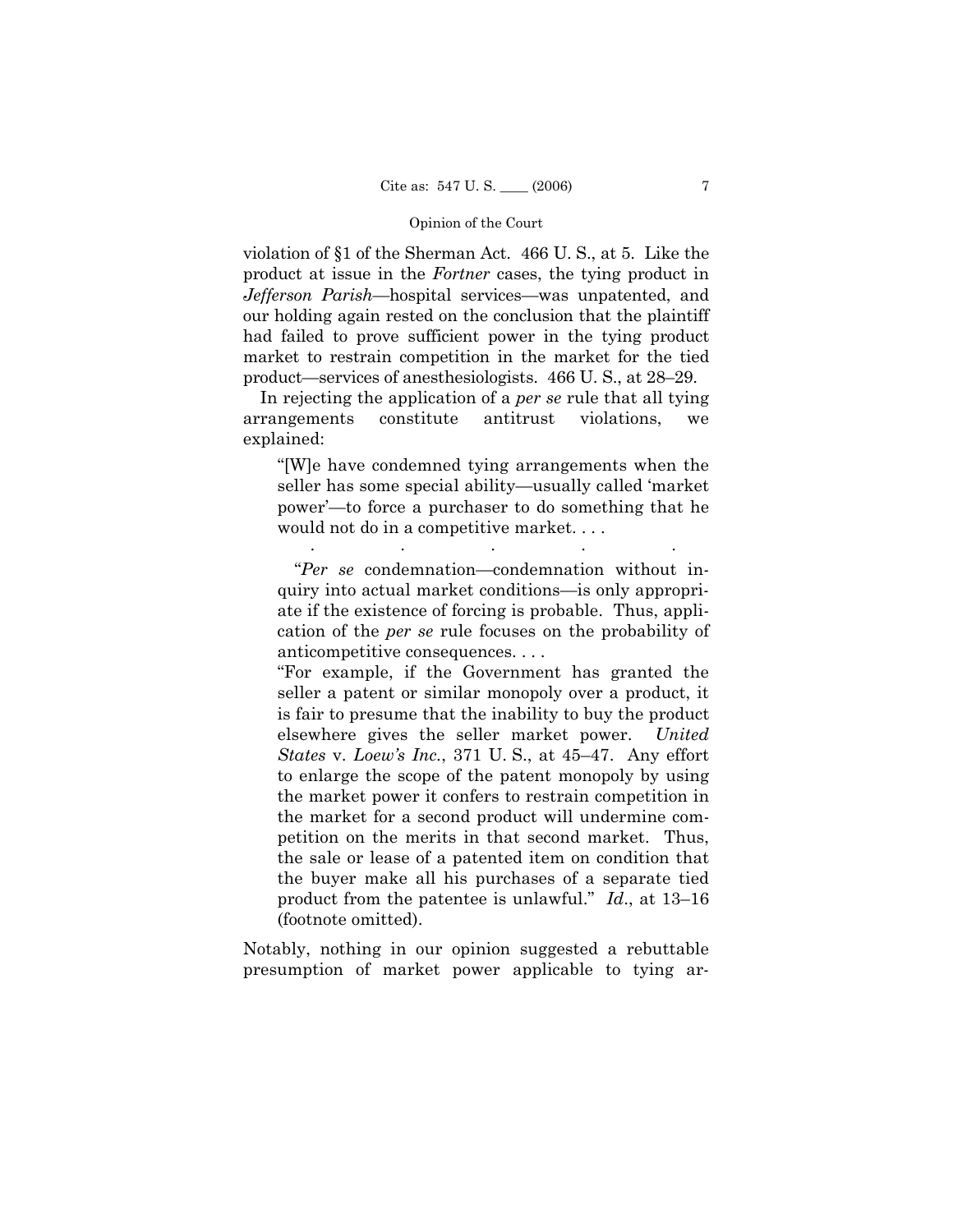violation of §1 of the Sherman Act. 466 U. S., at 5. Like the product at issue in the *Fortner* cases, the tying product in *Jefferson Parish*—hospital services—was unpatented, and our holding again rested on the conclusion that the plaintiff had failed to prove sufficient power in the tying product market to restrain competition in the market for the tied product—services of anesthesiologists. 466 U. S., at 28–29.

In rejecting the application of a *per se* rule that all tying arrangements constitute antitrust violations, we explained:

"[W]e have condemned tying arrangements when the seller has some special ability—usually called 'market power'—to force a purchaser to do something that he would not do in a competitive market. . . .

. . . . .

 "*Per se* condemnation—condemnation without inquiry into actual market conditions—is only appropriate if the existence of forcing is probable. Thus, application of the *per se* rule focuses on the probability of anticompetitive consequences. . . .

"For example, if the Government has granted the seller a patent or similar monopoly over a product, it is fair to presume that the inability to buy the product elsewhere gives the seller market power. *United States* v. *Loew's Inc.*, 371 U. S., at 45–47. Any effort to enlarge the scope of the patent monopoly by using the market power it confers to restrain competition in the market for a second product will undermine competition on the merits in that second market. Thus, the sale or lease of a patented item on condition that the buyer make all his purchases of a separate tied product from the patentee is unlawful." *Id*., at 13–16 (footnote omitted).

Notably, nothing in our opinion suggested a rebuttable presumption of market power applicable to tying ar-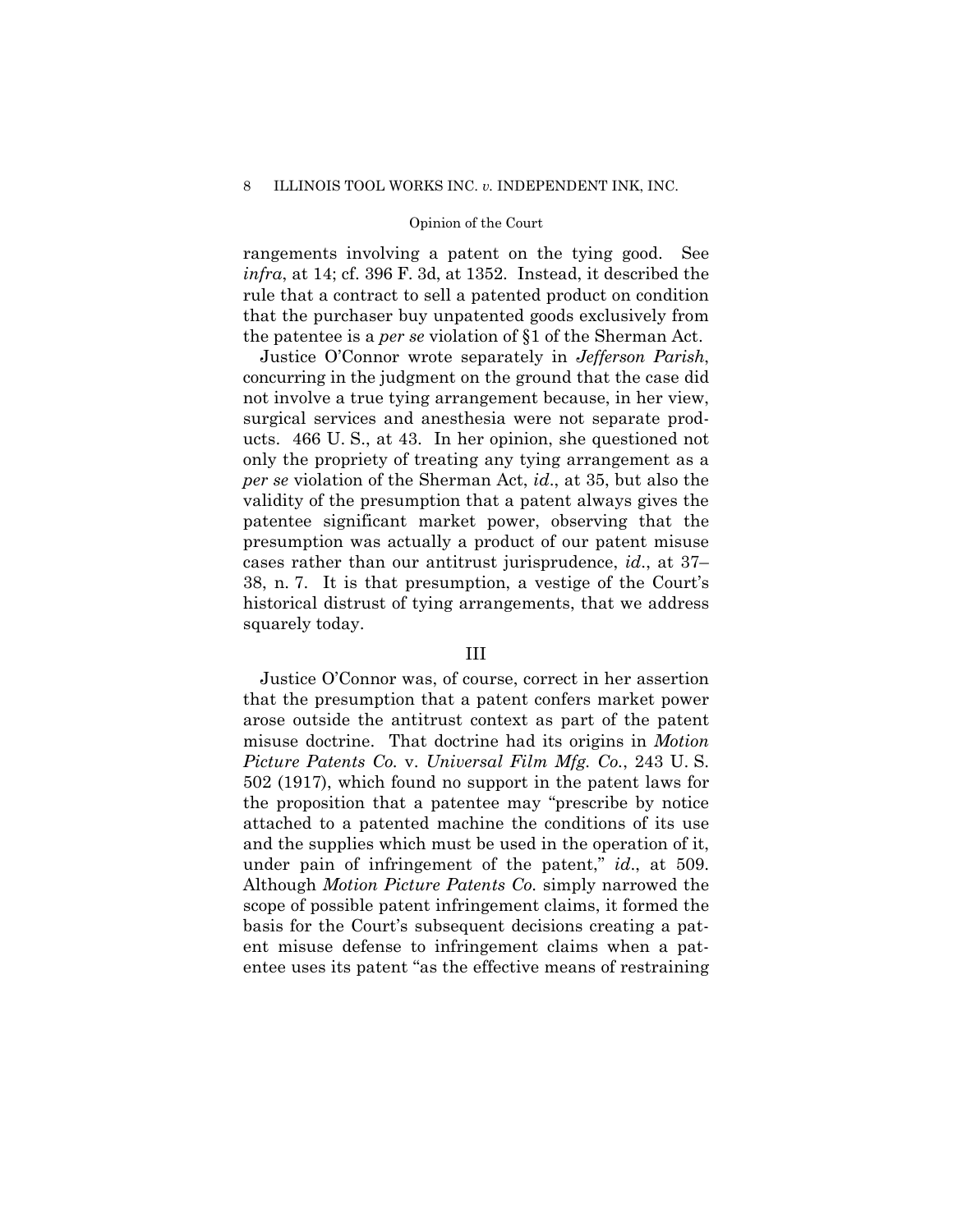rangements involving a patent on the tying good. See *infra*, at 14; cf. 396 F. 3d, at 1352. Instead, it described the rule that a contract to sell a patented product on condition that the purchaser buy unpatented goods exclusively from the patentee is a *per se* violation of §1 of the Sherman Act.

Justice O'Connor wrote separately in *Jefferson Parish*, concurring in the judgment on the ground that the case did not involve a true tying arrangement because, in her view, surgical services and anesthesia were not separate products. 466 U. S., at 43. In her opinion, she questioned not only the propriety of treating any tying arrangement as a *per se* violation of the Sherman Act, *id*., at 35, but also the validity of the presumption that a patent always gives the patentee significant market power, observing that the presumption was actually a product of our patent misuse cases rather than our antitrust jurisprudence, *id*., at 37– 38, n. 7. It is that presumption, a vestige of the Court's historical distrust of tying arrangements, that we address squarely today.

## III

Justice O'Connor was, of course, correct in her assertion that the presumption that a patent confers market power arose outside the antitrust context as part of the patent misuse doctrine. That doctrine had its origins in *Motion Picture Patents Co.* v. *Universal Film Mfg. Co.*, 243 U. S. 502 (1917), which found no support in the patent laws for the proposition that a patentee may "prescribe by notice attached to a patented machine the conditions of its use and the supplies which must be used in the operation of it, under pain of infringement of the patent," *id*., at 509. Although *Motion Picture Patents Co.* simply narrowed the scope of possible patent infringement claims, it formed the basis for the Court's subsequent decisions creating a patent misuse defense to infringement claims when a patentee uses its patent "as the effective means of restraining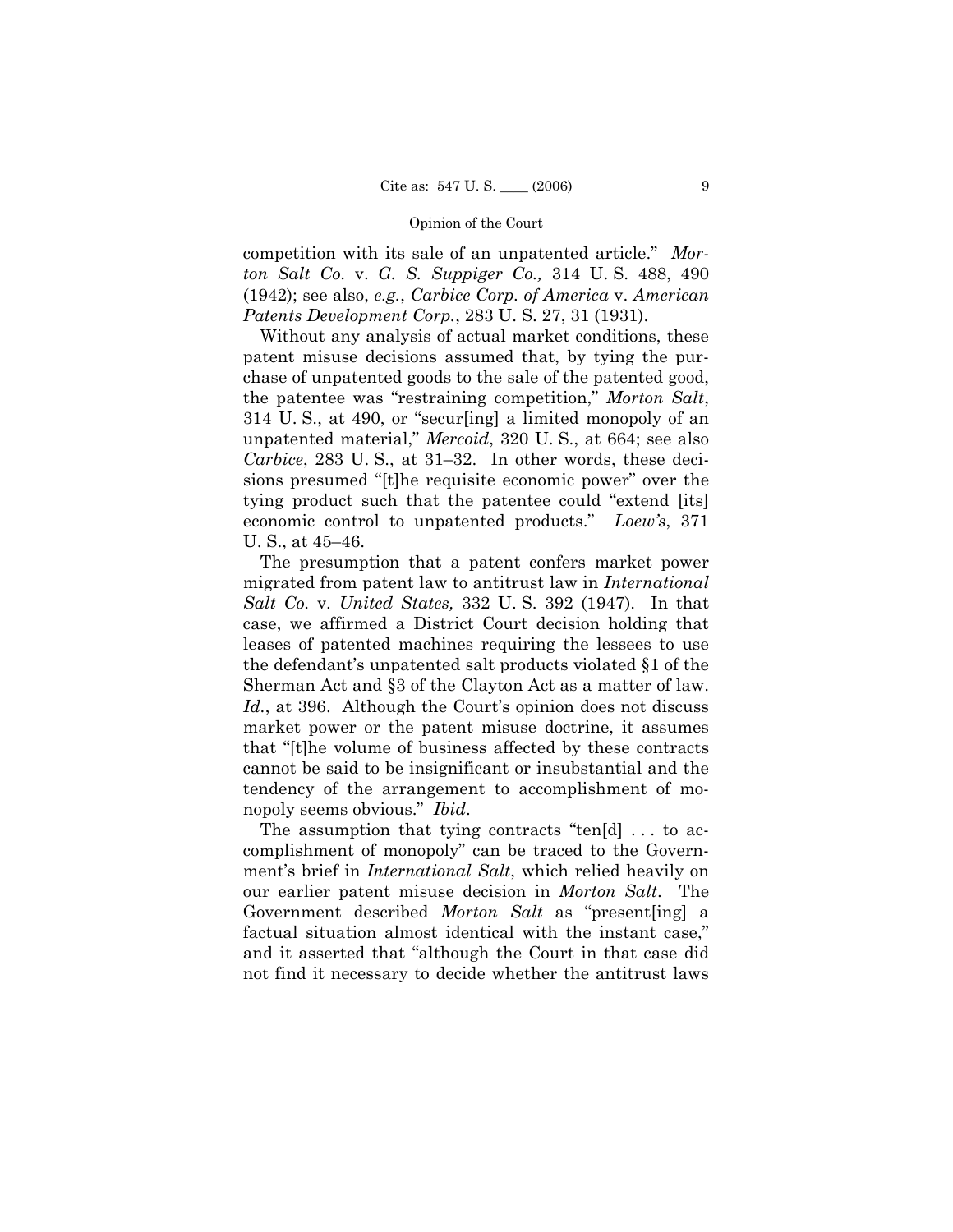competition with its sale of an unpatented article." *Morton Salt Co.* v. *G. S. Suppiger Co.,* 314 U. S. 488, 490 (1942); see also, *e.g.*, *Carbice Corp. of America* v. *American Patents Development Corp.*, 283 U. S. 27, 31 (1931).

Without any analysis of actual market conditions, these patent misuse decisions assumed that, by tying the purchase of unpatented goods to the sale of the patented good, the patentee was "restraining competition," *Morton Salt*, 314 U. S., at 490, or "secur[ing] a limited monopoly of an unpatented material," *Mercoid*, 320 U. S., at 664; see also *Carbice*, 283 U. S., at 31–32. In other words, these decisions presumed "[t]he requisite economic power" over the tying product such that the patentee could "extend [its] economic control to unpatented products." *Loew's*, 371 U. S., at 45–46.

The presumption that a patent confers market power migrated from patent law to antitrust law in *International Salt Co.* v. *United States,* 332 U. S. 392 (1947). In that case, we affirmed a District Court decision holding that leases of patented machines requiring the lessees to use the defendant's unpatented salt products violated §1 of the Sherman Act and §3 of the Clayton Act as a matter of law. Id., at 396. Although the Court's opinion does not discuss market power or the patent misuse doctrine, it assumes that "[t]he volume of business affected by these contracts cannot be said to be insignificant or insubstantial and the tendency of the arrangement to accomplishment of monopoly seems obvious." *Ibid*.

The assumption that tying contracts "ten[d] . . . to accomplishment of monopoly" can be traced to the Government's brief in *International Salt*, which relied heavily on our earlier patent misuse decision in *Morton Salt*. The Government described *Morton Salt* as "present[ing] a factual situation almost identical with the instant case," and it asserted that "although the Court in that case did not find it necessary to decide whether the antitrust laws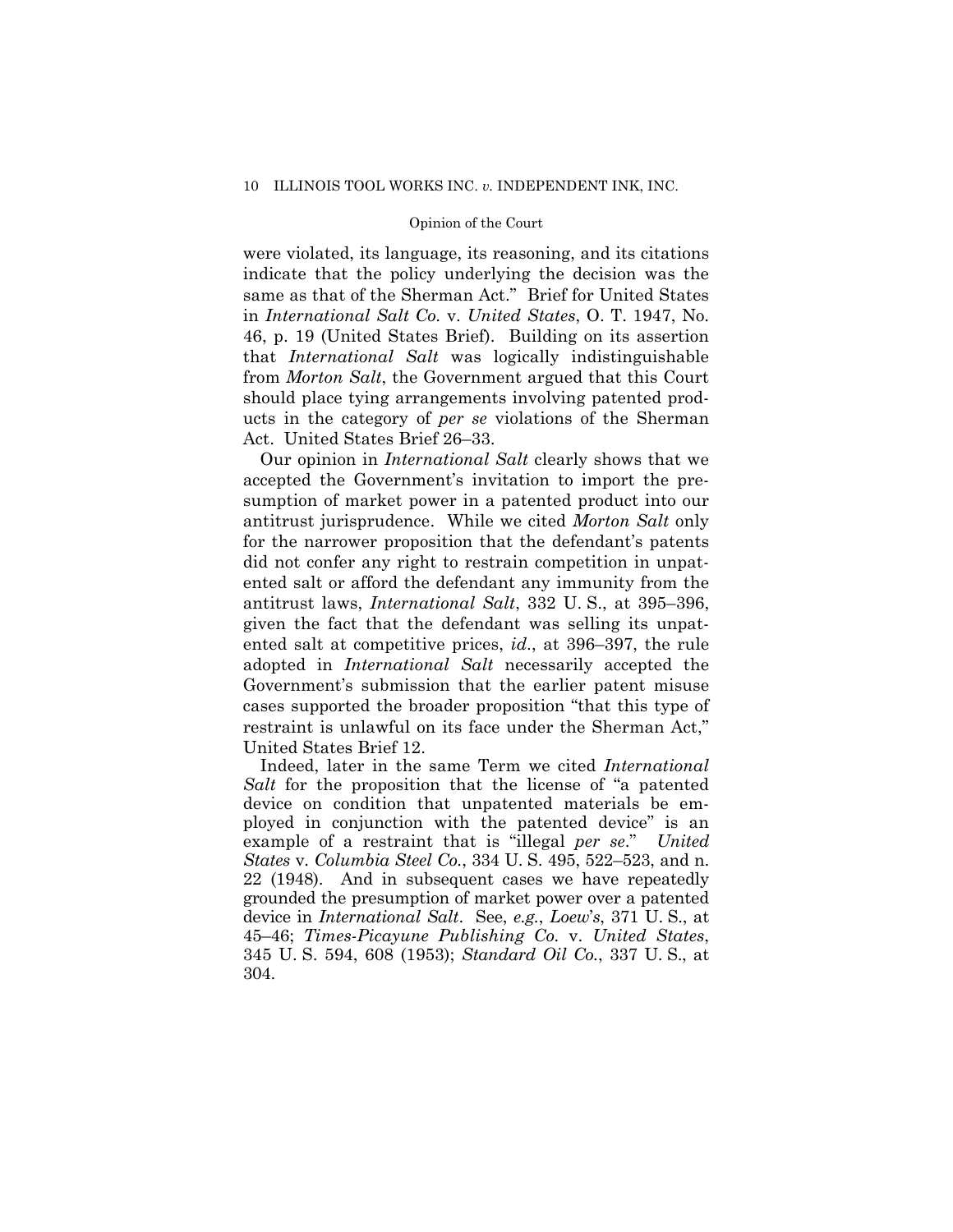were violated, its language, its reasoning, and its citations indicate that the policy underlying the decision was the same as that of the Sherman Act." Brief for United States in *International Salt Co.* v. *United States*, O. T. 1947, No. 46, p. 19 (United States Brief). Building on its assertion that *International Salt* was logically indistinguishable from *Morton Salt*, the Government argued that this Court should place tying arrangements involving patented products in the category of *per se* violations of the Sherman Act. United States Brief 26–33.

Our opinion in *International Salt* clearly shows that we accepted the Government's invitation to import the presumption of market power in a patented product into our antitrust jurisprudence. While we cited *Morton Salt* only for the narrower proposition that the defendant's patents did not confer any right to restrain competition in unpatented salt or afford the defendant any immunity from the antitrust laws, *International Salt*, 332 U. S., at 395–396, given the fact that the defendant was selling its unpatented salt at competitive prices, *id*., at 396–397, the rule adopted in *International Salt* necessarily accepted the Government's submission that the earlier patent misuse cases supported the broader proposition "that this type of restraint is unlawful on its face under the Sherman Act," United States Brief 12.

Indeed, later in the same Term we cited *International Salt* for the proposition that the license of "a patented device on condition that unpatented materials be employed in conjunction with the patented device" is an example of a restraint that is "illegal *per se*." *United States* v. *Columbia Steel Co.*, 334 U. S. 495, 522–523, and n. 22 (1948). And in subsequent cases we have repeatedly grounded the presumption of market power over a patented device in *International Salt*. See, *e.g.*, *Loew*'*s*, 371 U. S., at 45–46; *Times-Picayune Publishing Co.* v. *United States*, 345 U. S. 594, 608 (1953); *Standard Oil Co.*, 337 U. S., at 304.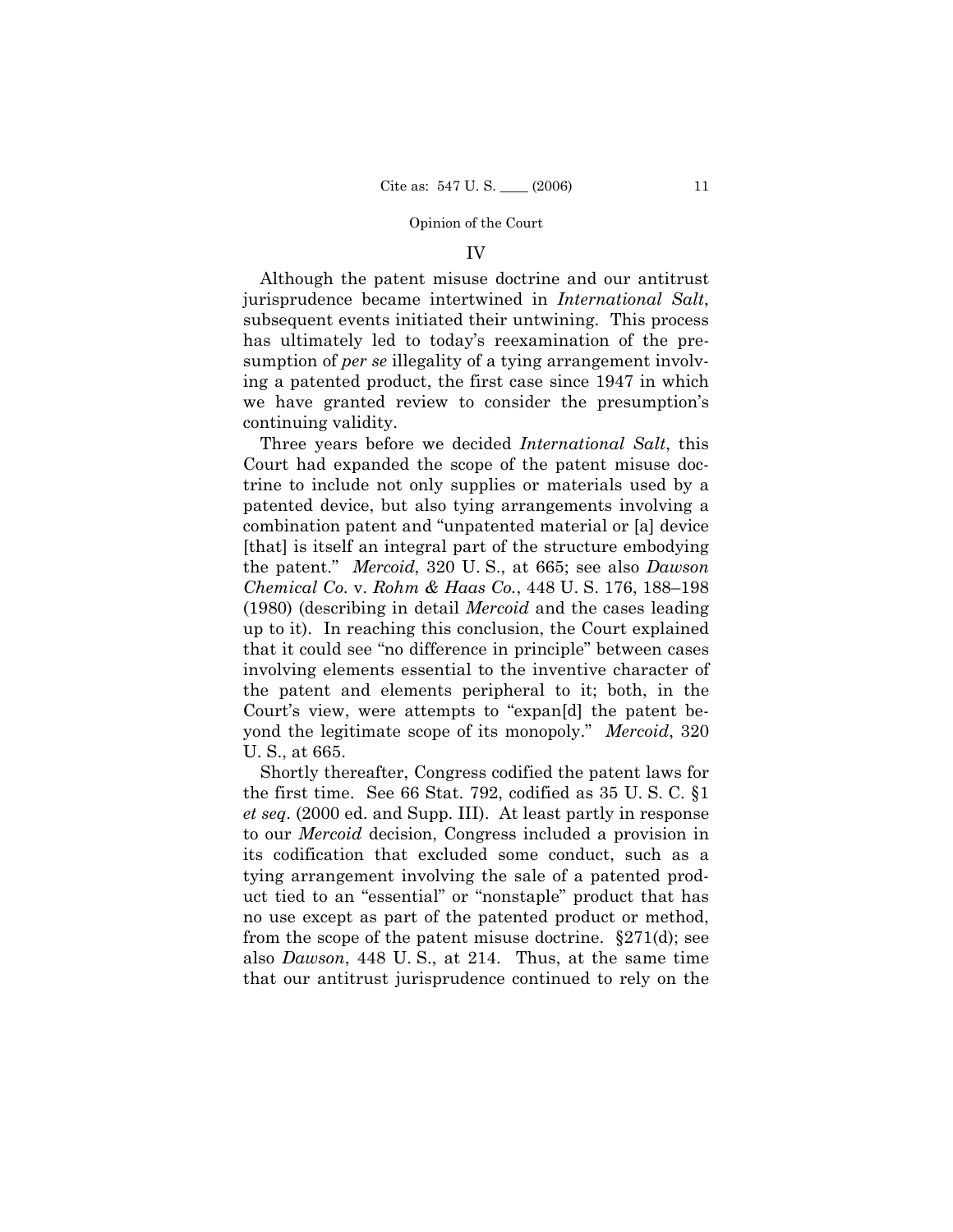## IV

Although the patent misuse doctrine and our antitrust jurisprudence became intertwined in *International Salt*, subsequent events initiated their untwining. This process has ultimately led to today's reexamination of the presumption of *per se* illegality of a tying arrangement involving a patented product, the first case since 1947 in which we have granted review to consider the presumption's continuing validity.

Three years before we decided *International Salt*, this Court had expanded the scope of the patent misuse doctrine to include not only supplies or materials used by a patented device, but also tying arrangements involving a combination patent and "unpatented material or [a] device [that] is itself an integral part of the structure embodying the patent." *Mercoid*, 320 U. S., at 665; see also *Dawson Chemical Co.* v. *Rohm & Haas Co.*, 448 U. S. 176, 188–198 (1980) (describing in detail *Mercoid* and the cases leading up to it). In reaching this conclusion, the Court explained that it could see "no difference in principle" between cases involving elements essential to the inventive character of the patent and elements peripheral to it; both, in the Court's view, were attempts to "expan[d] the patent beyond the legitimate scope of its monopoly." *Mercoid*, 320 U. S., at 665.

Shortly thereafter, Congress codified the patent laws for the first time. See 66 Stat. 792, codified as 35 U. S. C. §1 *et seq*. (2000 ed. and Supp. III). At least partly in response to our *Mercoid* decision, Congress included a provision in its codification that excluded some conduct, such as a tying arrangement involving the sale of a patented product tied to an "essential" or "nonstaple" product that has no use except as part of the patented product or method, from the scope of the patent misuse doctrine.  $\S 271(d)$ ; see also *Dawson*, 448 U. S., at 214. Thus, at the same time that our antitrust jurisprudence continued to rely on the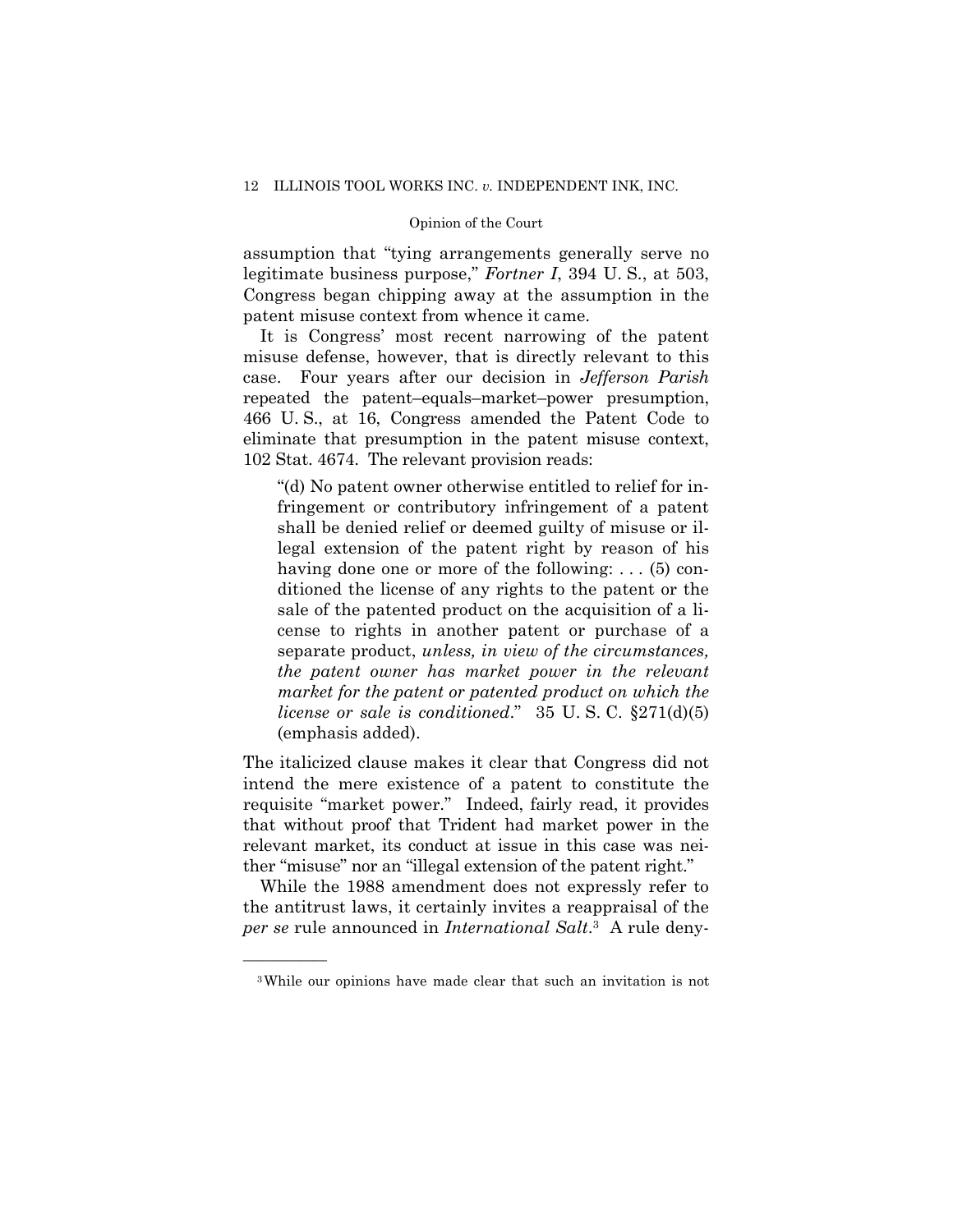assumption that "tying arrangements generally serve no legitimate business purpose," *Fortner I*, 394 U. S., at 503, Congress began chipping away at the assumption in the patent misuse context from whence it came.

It is Congress' most recent narrowing of the patent misuse defense, however, that is directly relevant to this case. Four years after our decision in *Jefferson Parish*  repeated the patent–equals–market–power presumption, 466 U. S., at 16, Congress amended the Patent Code to eliminate that presumption in the patent misuse context, 102 Stat. 4674. The relevant provision reads:

"(d) No patent owner otherwise entitled to relief for infringement or contributory infringement of a patent shall be denied relief or deemed guilty of misuse or illegal extension of the patent right by reason of his having done one or more of the following: . . . (5) conditioned the license of any rights to the patent or the sale of the patented product on the acquisition of a license to rights in another patent or purchase of a separate product, *unless, in view of the circumstances, the patent owner has market power in the relevant market for the patent or patented product on which the license or sale is conditioned*." 35 U. S. C. §271(d)(5) (emphasis added).

The italicized clause makes it clear that Congress did not intend the mere existence of a patent to constitute the requisite "market power." Indeed, fairly read, it provides that without proof that Trident had market power in the relevant market, its conduct at issue in this case was neither "misuse" nor an "illegal extension of the patent right."

While the 1988 amendment does not expressly refer to the antitrust laws, it certainly invites a reappraisal of the *per se* rule announced in *International Salt*.3 A rule deny-

<sup>3</sup>While our opinions have made clear that such an invitation is not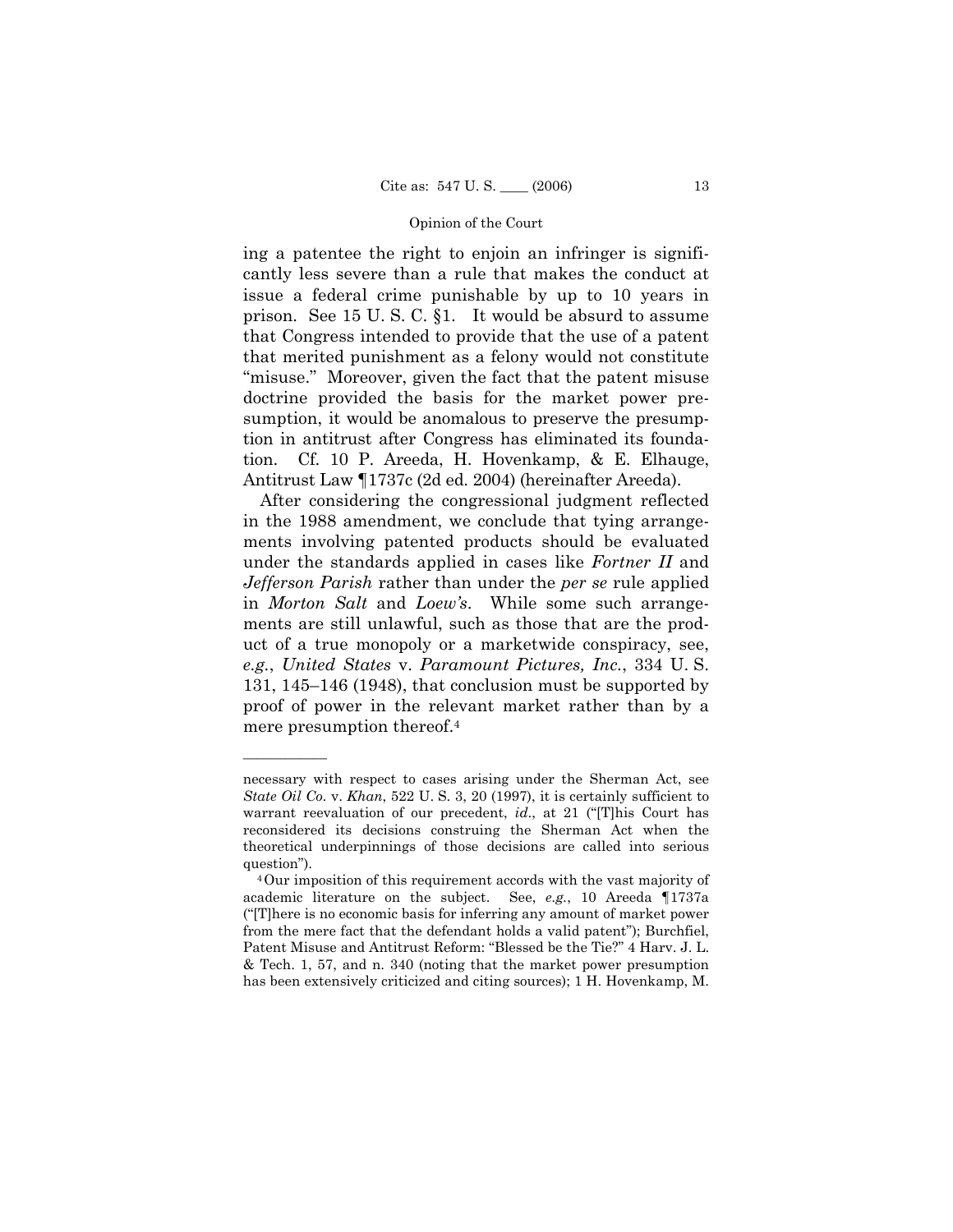ing a patentee the right to enjoin an infringer is significantly less severe than a rule that makes the conduct at issue a federal crime punishable by up to 10 years in prison. See 15 U. S. C. §1. It would be absurd to assume that Congress intended to provide that the use of a patent that merited punishment as a felony would not constitute "misuse." Moreover, given the fact that the patent misuse doctrine provided the basis for the market power presumption, it would be anomalous to preserve the presumption in antitrust after Congress has eliminated its foundation. Cf. 10 P. Areeda, H. Hovenkamp, & E. Elhauge, Antitrust Law ¶1737c (2d ed. 2004) (hereinafter Areeda).

After considering the congressional judgment reflected in the 1988 amendment, we conclude that tying arrangements involving patented products should be evaluated under the standards applied in cases like *Fortner II* and *Jefferson Parish* rather than under the *per se* rule applied in *Morton Salt* and *Loew's*. While some such arrangements are still unlawful, such as those that are the product of a true monopoly or a marketwide conspiracy, see, *e.g.*, *United States* v. *Paramount Pictures, Inc.*, 334 U. S. 131, 145–146 (1948), that conclusion must be supported by proof of power in the relevant market rather than by a mere presumption thereof.4

necessary with respect to cases arising under the Sherman Act, see *State Oil Co.* v. *Khan*, 522 U. S. 3, 20 (1997), it is certainly sufficient to warrant reevaluation of our precedent, *id*., at 21 ("[T]his Court has reconsidered its decisions construing the Sherman Act when the theoretical underpinnings of those decisions are called into serious

question").  $4$ Our imposition of this requirement accords with the vast majority of academic literature on the subject. See, *e.g.*, 10 Areeda ¶1737a ("[T]here is no economic basis for inferring any amount of market power from the mere fact that the defendant holds a valid patent"); Burchfiel, Patent Misuse and Antitrust Reform: "Blessed be the Tie?" 4 Harv. J. L. & Tech. 1, 57, and n. 340 (noting that the market power presumption has been extensively criticized and citing sources); 1 H. Hovenkamp, M.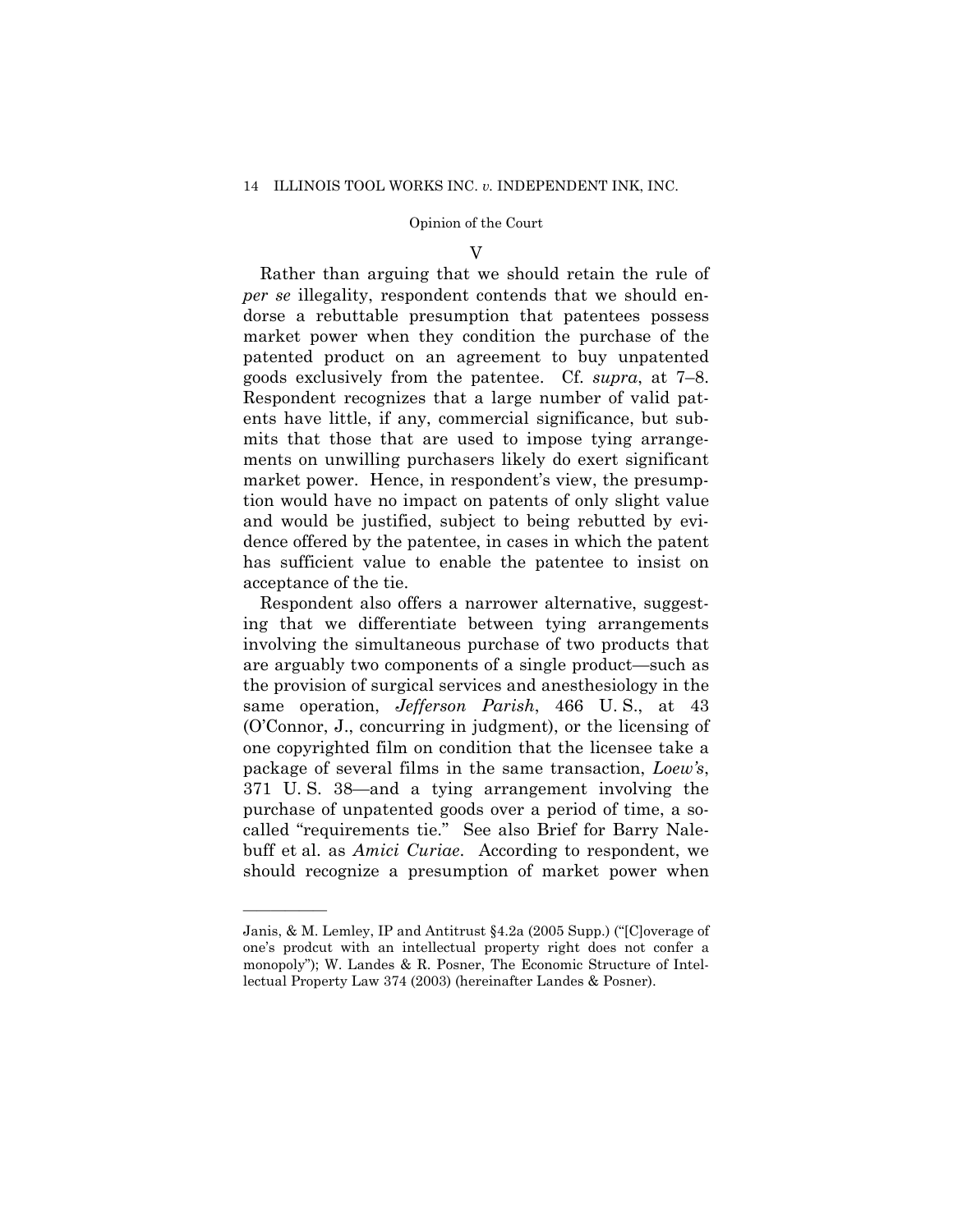## V

Rather than arguing that we should retain the rule of *per se* illegality, respondent contends that we should endorse a rebuttable presumption that patentees possess market power when they condition the purchase of the patented product on an agreement to buy unpatented goods exclusively from the patentee. Cf. *supra*, at 7–8. Respondent recognizes that a large number of valid patents have little, if any, commercial significance, but submits that those that are used to impose tying arrangements on unwilling purchasers likely do exert significant market power. Hence, in respondent's view, the presumption would have no impact on patents of only slight value and would be justified, subject to being rebutted by evidence offered by the patentee, in cases in which the patent has sufficient value to enable the patentee to insist on acceptance of the tie.

Respondent also offers a narrower alternative, suggesting that we differentiate between tying arrangements involving the simultaneous purchase of two products that are arguably two components of a single product—such as the provision of surgical services and anesthesiology in the same operation, *Jefferson Parish*, 466 U. S., at 43 (O'Connor, J., concurring in judgment), or the licensing of one copyrighted film on condition that the licensee take a package of several films in the same transaction, *Loew's*, 371 U. S. 38—and a tying arrangement involving the purchase of unpatented goods over a period of time, a socalled "requirements tie." See also Brief for Barry Nalebuff et al. as *Amici Curiae*. According to respondent, we should recognize a presumption of market power when

Janis, & M. Lemley, IP and Antitrust §4.2a (2005 Supp.) ("[C]overage of one's prodcut with an intellectual property right does not confer a monopoly"); W. Landes & R. Posner, The Economic Structure of Intellectual Property Law 374 (2003) (hereinafter Landes & Posner).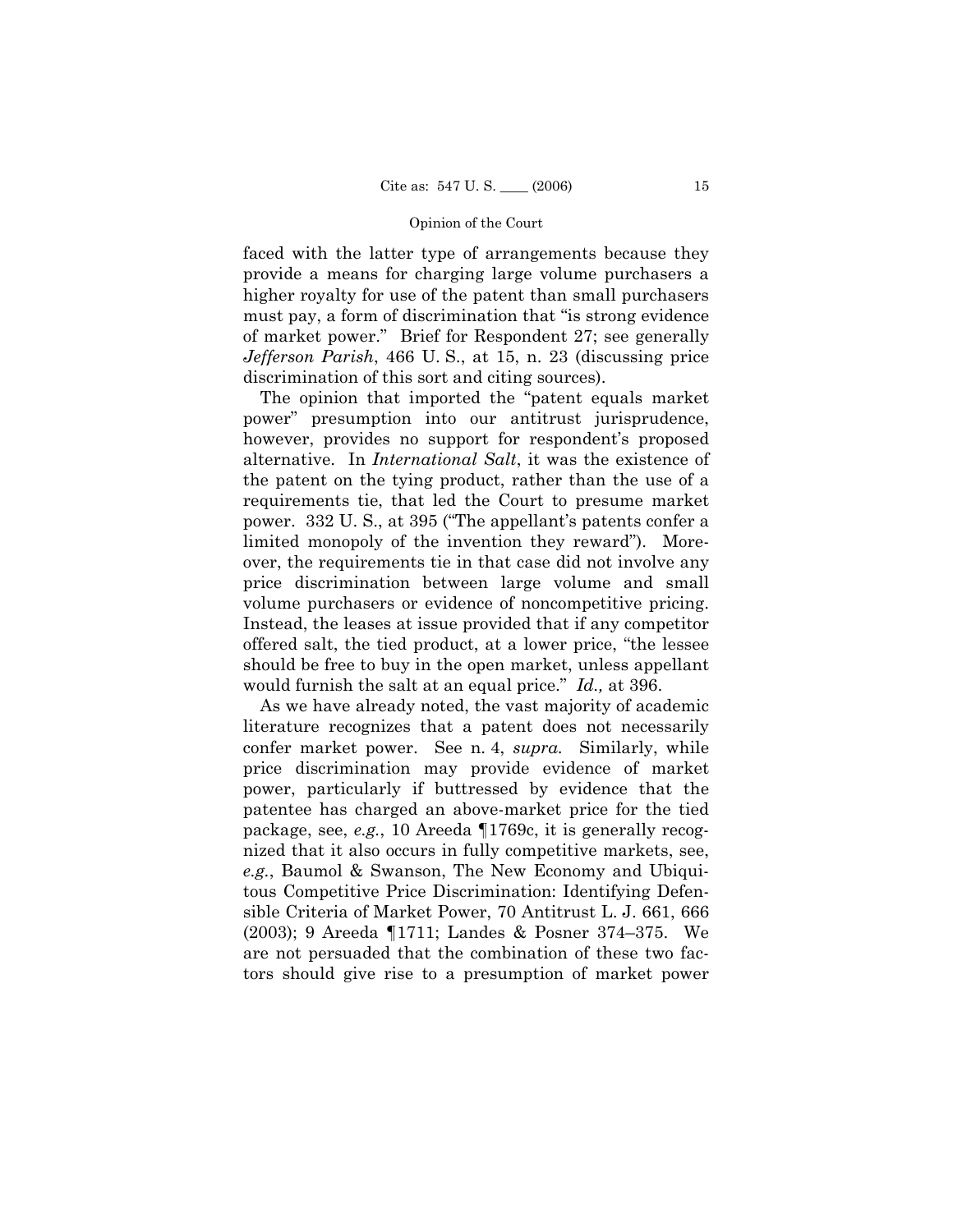faced with the latter type of arrangements because they provide a means for charging large volume purchasers a higher royalty for use of the patent than small purchasers must pay, a form of discrimination that "is strong evidence of market power." Brief for Respondent 27; see generally *Jefferson Parish*, 466 U. S., at 15, n. 23 (discussing price discrimination of this sort and citing sources).

The opinion that imported the "patent equals market power" presumption into our antitrust jurisprudence, however, provides no support for respondent's proposed alternative. In *International Salt*, it was the existence of the patent on the tying product, rather than the use of a requirements tie, that led the Court to presume market power. 332 U. S., at 395 ("The appellant's patents confer a limited monopoly of the invention they reward"). Moreover, the requirements tie in that case did not involve any price discrimination between large volume and small volume purchasers or evidence of noncompetitive pricing. Instead, the leases at issue provided that if any competitor offered salt, the tied product, at a lower price, "the lessee should be free to buy in the open market, unless appellant would furnish the salt at an equal price." *Id.,* at 396.

As we have already noted, the vast majority of academic literature recognizes that a patent does not necessarily confer market power. See n. 4, *supra.* Similarly, while price discrimination may provide evidence of market power, particularly if buttressed by evidence that the patentee has charged an above-market price for the tied package, see, *e.g.*, 10 Areeda ¶1769c, it is generally recognized that it also occurs in fully competitive markets, see, *e.g.*, Baumol & Swanson, The New Economy and Ubiquitous Competitive Price Discrimination: Identifying Defensible Criteria of Market Power, 70 Antitrust L. J. 661, 666 (2003); 9 Areeda ¶1711; Landes & Posner 374–375. We are not persuaded that the combination of these two factors should give rise to a presumption of market power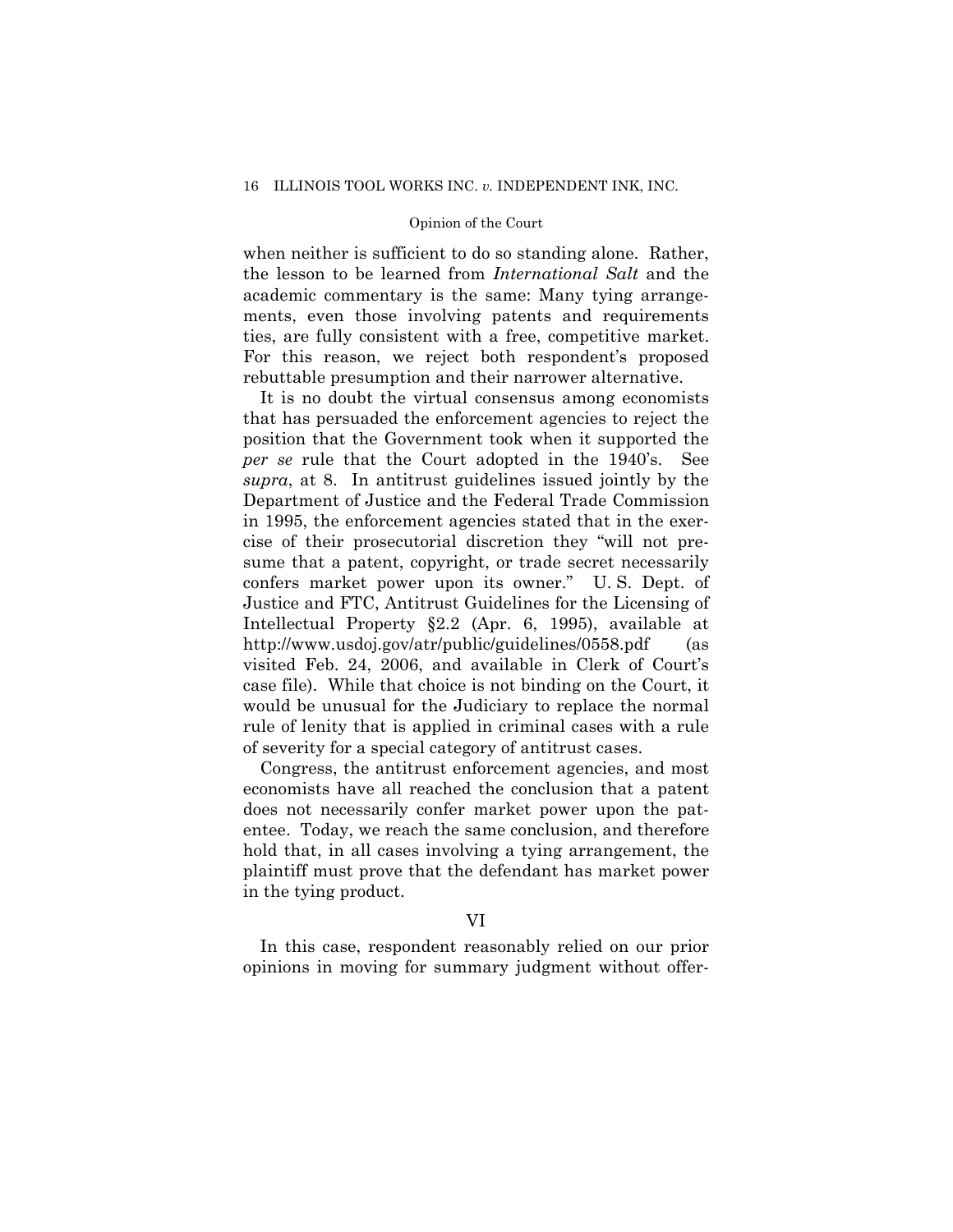when neither is sufficient to do so standing alone. Rather, the lesson to be learned from *International Salt* and the academic commentary is the same: Many tying arrangements, even those involving patents and requirements ties, are fully consistent with a free, competitive market. For this reason, we reject both respondent's proposed rebuttable presumption and their narrower alternative.

It is no doubt the virtual consensus among economists that has persuaded the enforcement agencies to reject the position that the Government took when it supported the *per se* rule that the Court adopted in the 1940's. See *supra*, at 8. In antitrust guidelines issued jointly by the Department of Justice and the Federal Trade Commission in 1995, the enforcement agencies stated that in the exercise of their prosecutorial discretion they "will not presume that a patent, copyright, or trade secret necessarily confers market power upon its owner." U. S. Dept. of Justice and FTC, Antitrust Guidelines for the Licensing of Intellectual Property §2.2 (Apr. 6, 1995), available at http://www.usdoj.gov/atr/public/guidelines/0558.pdf (as visited Feb. 24, 2006, and available in Clerk of Court's case file). While that choice is not binding on the Court, it would be unusual for the Judiciary to replace the normal rule of lenity that is applied in criminal cases with a rule of severity for a special category of antitrust cases.

Congress, the antitrust enforcement agencies, and most economists have all reached the conclusion that a patent does not necessarily confer market power upon the patentee. Today, we reach the same conclusion, and therefore hold that, in all cases involving a tying arrangement, the plaintiff must prove that the defendant has market power in the tying product.

## VI

In this case, respondent reasonably relied on our prior opinions in moving for summary judgment without offer-